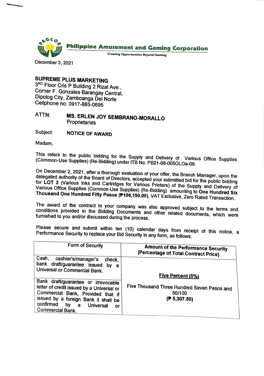

December 3, 2021

## **SUPREME PLUS MARKETING**

3RD Floor Cris P Building 2 Rizal Ave., Corner F. Gonzales Barangay Central, Dipolog City, Zamboanga Del Norte Cellphone no: 0917-885-0695

## ATTN: **MS. ERLEN JOY SEMBRANO-MORALLO Proprietaries**

Subject: **NOTICE OF AWARD** 

Madam,

This refers to the public bidding for the Supply and Delivery of Various Office Supplies (Common-Use Supplies) (Re-Bidding) under 1TB No. PB21-08-005OLOa-09.

On December 2, 2021, after a thorough evaluation of your offer, the Branch Manager, upon the delegated authority of the Board of Directors, accepted your submitted bid for the public bidding<br>for LOT 2 (Various Inks and Cartridges for Various District) for the public bidding Various Office Supplies (Common-Use Supplies) (Re-Bidding) amounting to **One Hundred Six**  2 (Various Inks and Cartridges for Various Printers) of the Supply and Delivery of<br>Office Supplies (Common-Use Supplies) (De Riddices) of the Supply and Delivery of **Thousand One Hundred Fifty Pesos (P106,150.00),** VAT Exclusive, Zero Rated Transaction.

The award of the contract to your company was also approved subject to the terms and conditions provided in the Bidding Documents and other related documents, which were furnished to you and/or discussed during the process.

Please secure and submit within ten (10) calendar days from receipt of this notice, a<br>Performance.Security.to.renlace.your.Pid.Security.in.cru.cru.cru.cru.cru.c Performance Security to replace your Bid Security in any form, as follows:

| Form of Security                                                                                                                                                                                                                           | <b>Amount of the Performance Security</b><br>(Percentage of Total Contract Price)           |
|--------------------------------------------------------------------------------------------------------------------------------------------------------------------------------------------------------------------------------------------|---------------------------------------------------------------------------------------------|
| Cash,<br>cashier's/manager's<br>check.<br>bank draft/guarantee issued by a<br>Universal or Commercial Bank.                                                                                                                                |                                                                                             |
| Bank draft/guarantee or irrevocable<br>letter of credit issued by a Universal or<br>Commercial Bank, Provided that if<br>issued by a foreign Bank it shall be<br>confirmed by<br>$\mathbf a$<br>Universal<br>оr<br><b>Commercial Bank.</b> | Five Percent (5%)<br>Five Thousand Three Hundred Seven Pesos and<br>50/100<br>(P 5, 307.50) |